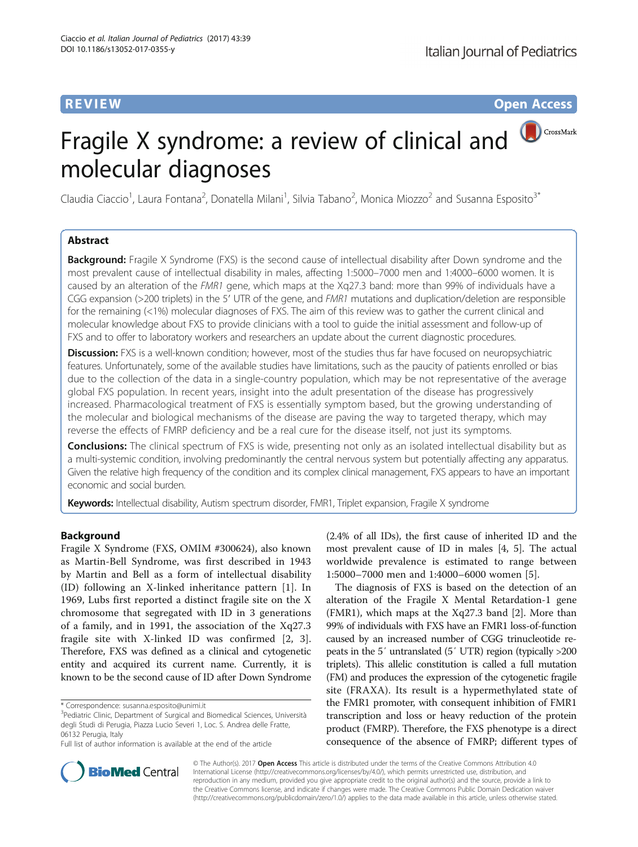**REVIEW CONSTRUCTION CONSTRUCTION CONSTRUCTS** 

CrossMark

# Fragile X syndrome: a review of clinical and molecular diagnoses

Claudia Ciaccio<sup>1</sup>, Laura Fontana<sup>2</sup>, Donatella Milani<sup>1</sup>, Silvia Tabano<sup>2</sup>, Monica Miozzo<sup>2</sup> and Susanna Esposito<sup>3\*</sup>

# Abstract

**Background:** Fragile X Syndrome (FXS) is the second cause of intellectual disability after Down syndrome and the most prevalent cause of intellectual disability in males, affecting 1:5000–7000 men and 1:4000–6000 women. It is caused by an alteration of the FMR1 gene, which maps at the Xq27.3 band: more than 99% of individuals have a CGG expansion (>200 triplets) in the 5' UTR of the gene, and FMR1 mutations and duplication/deletion are responsible for the remaining (<1%) molecular diagnoses of FXS. The aim of this review was to gather the current clinical and molecular knowledge about FXS to provide clinicians with a tool to guide the initial assessment and follow-up of FXS and to offer to laboratory workers and researchers an update about the current diagnostic procedures.

Discussion: FXS is a well-known condition; however, most of the studies thus far have focused on neuropsychiatric features. Unfortunately, some of the available studies have limitations, such as the paucity of patients enrolled or bias due to the collection of the data in a single-country population, which may be not representative of the average global FXS population. In recent years, insight into the adult presentation of the disease has progressively increased. Pharmacological treatment of FXS is essentially symptom based, but the growing understanding of the molecular and biological mechanisms of the disease are paving the way to targeted therapy, which may reverse the effects of FMRP deficiency and be a real cure for the disease itself, not just its symptoms.

**Conclusions:** The clinical spectrum of FXS is wide, presenting not only as an isolated intellectual disability but as a multi-systemic condition, involving predominantly the central nervous system but potentially affecting any apparatus. Given the relative high frequency of the condition and its complex clinical management, FXS appears to have an important economic and social burden.

Keywords: Intellectual disability, Autism spectrum disorder, FMR1, Triplet expansion, Fragile X syndrome

# Background

Fragile X Syndrome (FXS, OMIM #300624), also known as Martin-Bell Syndrome, was first described in 1943 by Martin and Bell as a form of intellectual disability (ID) following an X-linked inheritance pattern [[1\]](#page-9-0). In 1969, Lubs first reported a distinct fragile site on the X chromosome that segregated with ID in 3 generations of a family, and in 1991, the association of the Xq27.3 fragile site with X-linked ID was confirmed [[2, 3](#page-9-0)]. Therefore, FXS was defined as a clinical and cytogenetic entity and acquired its current name. Currently, it is known to be the second cause of ID after Down Syndrome

(2.4% of all IDs), the first cause of inherited ID and the most prevalent cause of ID in males [\[4, 5](#page-9-0)]. The actual worldwide prevalence is estimated to range between 1:5000–7000 men and 1:4000–6000 women [[5\]](#page-9-0).

The diagnosis of FXS is based on the detection of an alteration of the Fragile X Mental Retardation-1 gene (FMR1), which maps at the Xq27.3 band [[2\]](#page-9-0). More than 99% of individuals with FXS have an FMR1 loss-of-function caused by an increased number of CGG trinucleotide repeats in the 5′ untranslated (5′ UTR) region (typically >200 triplets). This allelic constitution is called a full mutation (FM) and produces the expression of the cytogenetic fragile site (FRAXA). Its result is a hypermethylated state of the FMR1 promoter, with consequent inhibition of FMR1 transcription and loss or heavy reduction of the protein product (FMRP). Therefore, the FXS phenotype is a direct consequence of the absence of FMRP; different types of



© The Author(s). 2017 **Open Access** This article is distributed under the terms of the Creative Commons Attribution 4.0 International License [\(http://creativecommons.org/licenses/by/4.0/](http://creativecommons.org/licenses/by/4.0/)), which permits unrestricted use, distribution, and reproduction in any medium, provided you give appropriate credit to the original author(s) and the source, provide a link to the Creative Commons license, and indicate if changes were made. The Creative Commons Public Domain Dedication waiver [\(http://creativecommons.org/publicdomain/zero/1.0/](http://creativecommons.org/publicdomain/zero/1.0/)) applies to the data made available in this article, unless otherwise stated.

<sup>\*</sup> Correspondence: [susanna.esposito@unimi.it](mailto:susanna.esposito@unimi.it) <sup>3</sup>

<sup>&</sup>lt;sup>3</sup>Pediatric Clinic, Department of Surgical and Biomedical Sciences, Università degli Studi di Perugia, Piazza Lucio Severi 1, Loc. S. Andrea delle Fratte, 06132 Perugia, Italy

Full list of author information is available at the end of the article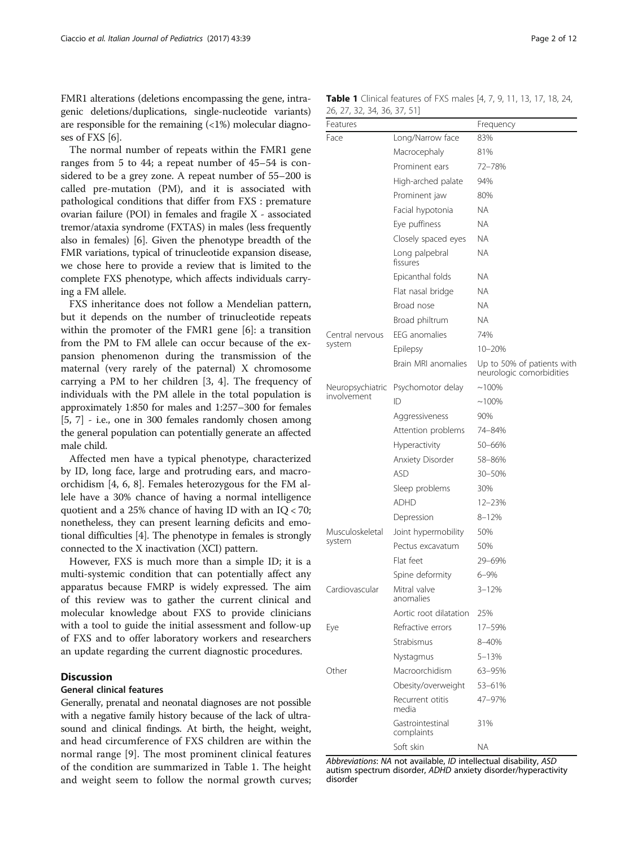FMR1 alterations (deletions encompassing the gene, intragenic deletions/duplications, single-nucleotide variants) are responsible for the remaining  $\left\langle \langle 1\% \rangle \right\rangle$  molecular diagnoses of FXS [[6\]](#page-9-0).

The normal number of repeats within the FMR1 gene ranges from 5 to 44; a repeat number of 45–54 is considered to be a grey zone. A repeat number of 55–200 is called pre-mutation (PM), and it is associated with pathological conditions that differ from FXS : premature ovarian failure (POI) in females and fragile X - associated tremor/ataxia syndrome (FXTAS) in males (less frequently also in females) [[6\]](#page-9-0). Given the phenotype breadth of the FMR variations, typical of trinucleotide expansion disease, we chose here to provide a review that is limited to the complete FXS phenotype, which affects individuals carrying a FM allele.

FXS inheritance does not follow a Mendelian pattern, but it depends on the number of trinucleotide repeats within the promoter of the FMR1 gene [[6\]](#page-9-0): a transition from the PM to FM allele can occur because of the expansion phenomenon during the transmission of the maternal (very rarely of the paternal) X chromosome carrying a PM to her children [\[3](#page-9-0), [4](#page-9-0)]. The frequency of individuals with the PM allele in the total population is approximately 1:850 for males and 1:257–300 for females [[5,](#page-9-0) [7](#page-10-0)] - i.e., one in 300 females randomly chosen among the general population can potentially generate an affected male child.

Affected men have a typical phenotype, characterized by ID, long face, large and protruding ears, and macroorchidism [[4, 6](#page-9-0), [8\]](#page-10-0). Females heterozygous for the FM allele have a 30% chance of having a normal intelligence quotient and a 25% chance of having ID with an IQ < 70; nonetheless, they can present learning deficits and emotional difficulties [\[4](#page-9-0)]. The phenotype in females is strongly connected to the X inactivation (XCI) pattern.

However, FXS is much more than a simple ID; it is a multi-systemic condition that can potentially affect any apparatus because FMRP is widely expressed. The aim of this review was to gather the current clinical and molecular knowledge about FXS to provide clinicians with a tool to guide the initial assessment and follow-up of FXS and to offer laboratory workers and researchers an update regarding the current diagnostic procedures.

# **Discussion**

# General clinical features

Generally, prenatal and neonatal diagnoses are not possible with a negative family history because of the lack of ultrasound and clinical findings. At birth, the height, weight, and head circumference of FXS children are within the normal range [[9\]](#page-10-0). The most prominent clinical features of the condition are summarized in Table 1. The height and weight seem to follow the normal growth curves;

**Table 1** Clinical features of FXS males [[4,](#page-9-0) [7](#page-10-0), [9, 11, 13](#page-10-0), [17](#page-10-0), [18](#page-10-0), [24,](#page-10-0) [26](#page-10-0), [27](#page-10-0), [32, 34, 36, 37](#page-10-0), [51](#page-10-0)]

| Features                        |                                | Frequency                                              |
|---------------------------------|--------------------------------|--------------------------------------------------------|
| Face                            | Long/Narrow face               | 83%                                                    |
|                                 | Macrocephaly                   | 81%                                                    |
|                                 | Prominent ears                 | 72-78%                                                 |
|                                 | High-arched palate             | 94%                                                    |
|                                 | Prominent jaw                  | 80%                                                    |
|                                 | Facial hypotonia               | <b>NA</b>                                              |
|                                 | Eye puffiness                  | <b>NA</b>                                              |
|                                 | Closely spaced eyes            | <b>NA</b>                                              |
|                                 | Long palpebral<br>fissures     | <b>NA</b>                                              |
|                                 | Epicanthal folds               | <b>NA</b>                                              |
|                                 | Flat nasal bridge              | <b>NA</b>                                              |
|                                 | Broad nose                     | <b>NA</b>                                              |
|                                 | Broad philtrum                 | <b>NA</b>                                              |
| Central nervous<br>system       | FFG anomalies                  | 74%                                                    |
|                                 | Epilepsy                       | 10-20%                                                 |
|                                 | Brain MRI anomalies            | Up to 50% of patients with<br>neurologic comorbidities |
| Neuropsychiatric<br>involvement | Psychomotor delay              | $~100\%$                                               |
|                                 | ID                             | $~100\%$                                               |
|                                 | Aggressiveness                 | 90%                                                    |
|                                 | Attention problems             | 74-84%                                                 |
|                                 | Hyperactivity                  | 50-66%                                                 |
|                                 | Anxiety Disorder               | 58-86%                                                 |
|                                 | ASD                            | 30-50%                                                 |
|                                 | Sleep problems                 | 30%                                                    |
|                                 | ADHD                           | 12-23%                                                 |
|                                 | Depression                     | $8 - 12%$                                              |
| Musculoskeletal<br>system       | Joint hypermobility            | 50%                                                    |
|                                 | Pectus excavatum               | 50%                                                    |
|                                 | Flat feet                      | 29-69%                                                 |
|                                 | Spine deformity                | 6–9%                                                   |
| Cardiovascular                  | Mitral valve<br>anomalies      | $3 - 12%$                                              |
|                                 | Aortic root dilatation         | 25%                                                    |
| Eye                             | Refractive errors              | 17-59%                                                 |
|                                 | Strabismus                     | 8-40%                                                  |
|                                 | Nystagmus                      | $5 - 13%$                                              |
| Other                           | Macroorchidism                 | 63–95%                                                 |
|                                 | Obesity/overweight             | 53-61%                                                 |
|                                 | Recurrent otitis<br>media      | 47-97%                                                 |
|                                 | Gastrointestinal<br>complaints | 31%                                                    |
|                                 | Soft skin                      | NА                                                     |

Abbreviations: NA not available, ID intellectual disability, ASD autism spectrum disorder, ADHD anxiety disorder/hyperactivity disorder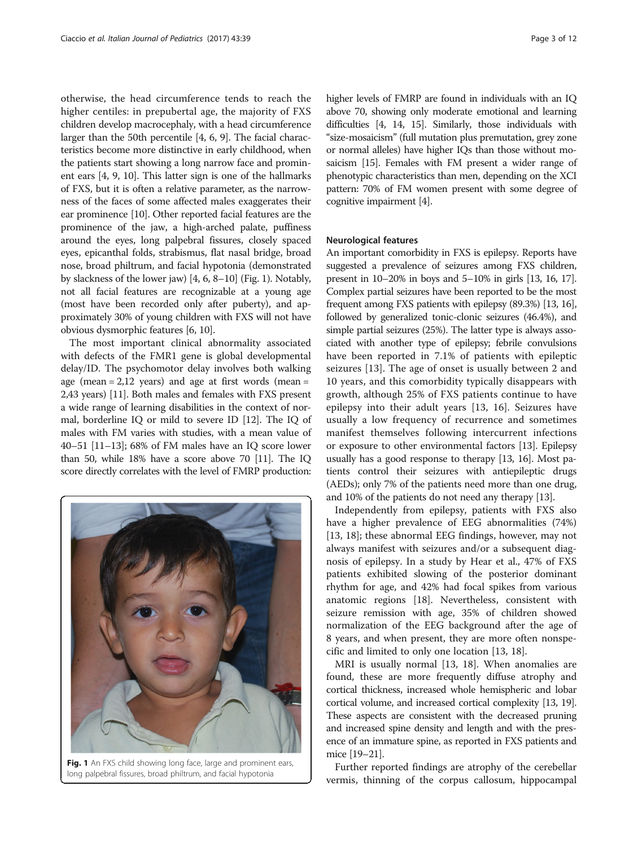otherwise, the head circumference tends to reach the higher centiles: in prepubertal age, the majority of FXS children develop macrocephaly, with a head circumference larger than the 50th percentile [[4](#page-9-0), [6](#page-9-0), [9](#page-10-0)]. The facial characteristics become more distinctive in early childhood, when the patients start showing a long narrow face and prominent ears [[4,](#page-9-0) [9, 10\]](#page-10-0). This latter sign is one of the hallmarks of FXS, but it is often a relative parameter, as the narrowness of the faces of some affected males exaggerates their ear prominence [\[10\]](#page-10-0). Other reported facial features are the prominence of the jaw, a high-arched palate, puffiness around the eyes, long palpebral fissures, closely spaced eyes, epicanthal folds, strabismus, flat nasal bridge, broad nose, broad philtrum, and facial hypotonia (demonstrated by slackness of the lower jaw) [\[4, 6](#page-9-0), [8](#page-10-0)–[10](#page-10-0)] (Fig. 1). Notably, not all facial features are recognizable at a young age (most have been recorded only after puberty), and approximately 30% of young children with FXS will not have obvious dysmorphic features [[6](#page-9-0), [10\]](#page-10-0).

The most important clinical abnormality associated with defects of the FMR1 gene is global developmental delay/ID. The psychomotor delay involves both walking age (mean  $= 2.12$  years) and age at first words (mean  $=$ 2,43 years) [\[11\]](#page-10-0). Both males and females with FXS present a wide range of learning disabilities in the context of normal, borderline IQ or mild to severe ID [[12](#page-10-0)]. The IQ of males with FM varies with studies, with a mean value of 40–51 [\[11](#page-10-0)–[13](#page-10-0)]; 68% of FM males have an IQ score lower than 50, while 18% have a score above 70 [[11](#page-10-0)]. The IQ score directly correlates with the level of FMRP production:



Fig. 1 An FXS child showing long face, large and prominent ears, long palpebral fissures, broad philtrum, and facial hypotonia

higher levels of FMRP are found in individuals with an IQ above 70, showing only moderate emotional and learning difficulties [[4](#page-9-0), [14, 15](#page-10-0)]. Similarly, those individuals with "size-mosaicism" (full mutation plus premutation, grey zone or normal alleles) have higher IQs than those without mosaicism [[15](#page-10-0)]. Females with FM present a wider range of phenotypic characteristics than men, depending on the XCI pattern: 70% of FM women present with some degree of cognitive impairment [\[4\]](#page-9-0).

# Neurological features

An important comorbidity in FXS is epilepsy. Reports have suggested a prevalence of seizures among FXS children, present in 10–20% in boys and 5–10% in girls [[13](#page-10-0), [16, 17](#page-10-0)]. Complex partial seizures have been reported to be the most frequent among FXS patients with epilepsy (89.3%) [\[13](#page-10-0), [16](#page-10-0)], followed by generalized tonic-clonic seizures (46.4%), and simple partial seizures (25%). The latter type is always associated with another type of epilepsy; febrile convulsions have been reported in 7.1% of patients with epileptic seizures [[13](#page-10-0)]. The age of onset is usually between 2 and 10 years, and this comorbidity typically disappears with growth, although 25% of FXS patients continue to have epilepsy into their adult years [[13, 16\]](#page-10-0). Seizures have usually a low frequency of recurrence and sometimes manifest themselves following intercurrent infections or exposure to other environmental factors [\[13](#page-10-0)]. Epilepsy usually has a good response to therapy [[13](#page-10-0), [16](#page-10-0)]. Most patients control their seizures with antiepileptic drugs (AEDs); only 7% of the patients need more than one drug, and 10% of the patients do not need any therapy [\[13](#page-10-0)].

Independently from epilepsy, patients with FXS also have a higher prevalence of EEG abnormalities (74%) [[13, 18\]](#page-10-0); these abnormal EEG findings, however, may not always manifest with seizures and/or a subsequent diagnosis of epilepsy. In a study by Hear et al., 47% of FXS patients exhibited slowing of the posterior dominant rhythm for age, and 42% had focal spikes from various anatomic regions [\[18\]](#page-10-0). Nevertheless, consistent with seizure remission with age, 35% of children showed normalization of the EEG background after the age of 8 years, and when present, they are more often nonspecific and limited to only one location [\[13](#page-10-0), [18](#page-10-0)].

MRI is usually normal [[13, 18\]](#page-10-0). When anomalies are found, these are more frequently diffuse atrophy and cortical thickness, increased whole hemispheric and lobar cortical volume, and increased cortical complexity [\[13, 19](#page-10-0)]. These aspects are consistent with the decreased pruning and increased spine density and length and with the presence of an immature spine, as reported in FXS patients and mice [\[19](#page-10-0)–[21\]](#page-10-0).

Further reported findings are atrophy of the cerebellar vermis, thinning of the corpus callosum, hippocampal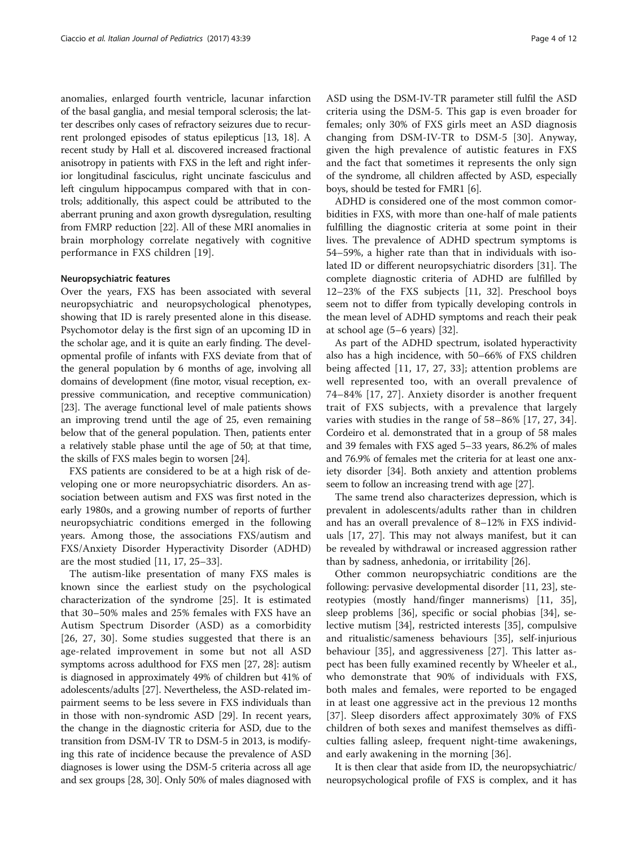anomalies, enlarged fourth ventricle, lacunar infarction of the basal ganglia, and mesial temporal sclerosis; the latter describes only cases of refractory seizures due to recurrent prolonged episodes of status epilepticus [[13](#page-10-0), [18](#page-10-0)]. A recent study by Hall et al. discovered increased fractional anisotropy in patients with FXS in the left and right inferior longitudinal fasciculus, right uncinate fasciculus and left cingulum hippocampus compared with that in controls; additionally, this aspect could be attributed to the aberrant pruning and axon growth dysregulation, resulting from FMRP reduction [[22\]](#page-10-0). All of these MRI anomalies in brain morphology correlate negatively with cognitive performance in FXS children [\[19](#page-10-0)].

# Neuropsychiatric features

Over the years, FXS has been associated with several neuropsychiatric and neuropsychological phenotypes, showing that ID is rarely presented alone in this disease. Psychomotor delay is the first sign of an upcoming ID in the scholar age, and it is quite an early finding. The developmental profile of infants with FXS deviate from that of the general population by 6 months of age, involving all domains of development (fine motor, visual reception, expressive communication, and receptive communication) [[23](#page-10-0)]. The average functional level of male patients shows an improving trend until the age of 25, even remaining below that of the general population. Then, patients enter a relatively stable phase until the age of 50; at that time, the skills of FXS males begin to worsen [[24](#page-10-0)].

FXS patients are considered to be at a high risk of developing one or more neuropsychiatric disorders. An association between autism and FXS was first noted in the early 1980s, and a growing number of reports of further neuropsychiatric conditions emerged in the following years. Among those, the associations FXS/autism and FXS/Anxiety Disorder Hyperactivity Disorder (ADHD) are the most studied [[11, 17, 25](#page-10-0)–[33](#page-10-0)].

The autism-like presentation of many FXS males is known since the earliest study on the psychological characterization of the syndrome [\[25](#page-10-0)]. It is estimated that 30–50% males and 25% females with FXS have an Autism Spectrum Disorder (ASD) as a comorbidity [[26](#page-10-0), [27](#page-10-0), [30](#page-10-0)]. Some studies suggested that there is an age-related improvement in some but not all ASD symptoms across adulthood for FXS men [[27](#page-10-0), [28](#page-10-0)]: autism is diagnosed in approximately 49% of children but 41% of adolescents/adults [[27](#page-10-0)]. Nevertheless, the ASD-related impairment seems to be less severe in FXS individuals than in those with non-syndromic ASD [\[29\]](#page-10-0). In recent years, the change in the diagnostic criteria for ASD, due to the transition from DSM-IV TR to DSM-5 in 2013, is modifying this rate of incidence because the prevalence of ASD diagnoses is lower using the DSM-5 criteria across all age and sex groups [\[28, 30\]](#page-10-0). Only 50% of males diagnosed with ASD using the DSM-IV-TR parameter still fulfil the ASD criteria using the DSM-5. This gap is even broader for females; only 30% of FXS girls meet an ASD diagnosis changing from DSM-IV-TR to DSM-5 [[30\]](#page-10-0). Anyway, given the high prevalence of autistic features in FXS and the fact that sometimes it represents the only sign of the syndrome, all children affected by ASD, especially boys, should be tested for FMR1 [[6](#page-9-0)].

ADHD is considered one of the most common comorbidities in FXS, with more than one-half of male patients fulfilling the diagnostic criteria at some point in their lives. The prevalence of ADHD spectrum symptoms is 54–59%, a higher rate than that in individuals with isolated ID or different neuropsychiatric disorders [\[31](#page-10-0)]. The complete diagnostic criteria of ADHD are fulfilled by 12–23% of the FXS subjects [\[11](#page-10-0), [32](#page-10-0)]. Preschool boys seem not to differ from typically developing controls in the mean level of ADHD symptoms and reach their peak at school age (5–6 years) [[32\]](#page-10-0).

As part of the ADHD spectrum, isolated hyperactivity also has a high incidence, with 50–66% of FXS children being affected [[11](#page-10-0), [17](#page-10-0), [27, 33\]](#page-10-0); attention problems are well represented too, with an overall prevalence of 74–84% [\[17](#page-10-0), [27\]](#page-10-0). Anxiety disorder is another frequent trait of FXS subjects, with a prevalence that largely varies with studies in the range of 58–86% [[17](#page-10-0), [27, 34](#page-10-0)]. Cordeiro et al. demonstrated that in a group of 58 males and 39 females with FXS aged 5–33 years, 86.2% of males and 76.9% of females met the criteria for at least one anxiety disorder [\[34](#page-10-0)]. Both anxiety and attention problems seem to follow an increasing trend with age [\[27\]](#page-10-0).

The same trend also characterizes depression, which is prevalent in adolescents/adults rather than in children and has an overall prevalence of 8–12% in FXS individuals [\[17, 27](#page-10-0)]. This may not always manifest, but it can be revealed by withdrawal or increased aggression rather than by sadness, anhedonia, or irritability [\[26](#page-10-0)].

Other common neuropsychiatric conditions are the following: pervasive developmental disorder [[11](#page-10-0), [23](#page-10-0)], stereotypies (mostly hand/finger mannerisms) [\[11](#page-10-0), [35](#page-10-0)], sleep problems [[36](#page-10-0)], specific or social phobias [\[34](#page-10-0)], selective mutism [\[34\]](#page-10-0), restricted interests [[35\]](#page-10-0), compulsive and ritualistic/sameness behaviours [\[35](#page-10-0)], self-injurious behaviour [\[35](#page-10-0)], and aggressiveness [[27\]](#page-10-0). This latter aspect has been fully examined recently by Wheeler et al., who demonstrate that 90% of individuals with FXS, both males and females, were reported to be engaged in at least one aggressive act in the previous 12 months [[37](#page-10-0)]. Sleep disorders affect approximately 30% of FXS children of both sexes and manifest themselves as difficulties falling asleep, frequent night-time awakenings, and early awakening in the morning [[36\]](#page-10-0).

It is then clear that aside from ID, the neuropsychiatric/ neuropsychological profile of FXS is complex, and it has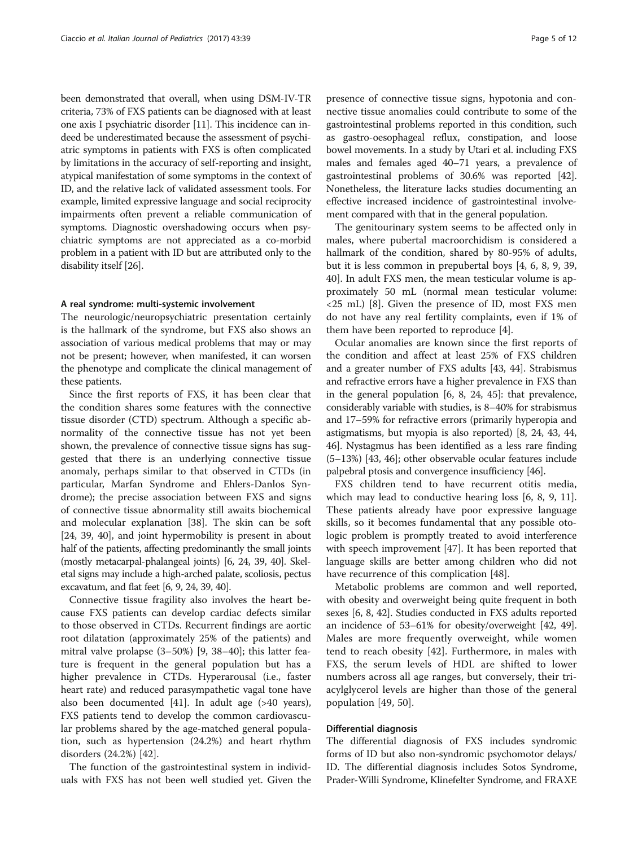been demonstrated that overall, when using DSM-IV-TR criteria, 73% of FXS patients can be diagnosed with at least one axis I psychiatric disorder [\[11\]](#page-10-0). This incidence can indeed be underestimated because the assessment of psychiatric symptoms in patients with FXS is often complicated by limitations in the accuracy of self-reporting and insight, atypical manifestation of some symptoms in the context of ID, and the relative lack of validated assessment tools. For example, limited expressive language and social reciprocity impairments often prevent a reliable communication of symptoms. Diagnostic overshadowing occurs when psychiatric symptoms are not appreciated as a co-morbid problem in a patient with ID but are attributed only to the disability itself [\[26\]](#page-10-0).

## A real syndrome: multi-systemic involvement

The neurologic/neuropsychiatric presentation certainly is the hallmark of the syndrome, but FXS also shows an association of various medical problems that may or may not be present; however, when manifested, it can worsen the phenotype and complicate the clinical management of these patients.

Since the first reports of FXS, it has been clear that the condition shares some features with the connective tissue disorder (CTD) spectrum. Although a specific abnormality of the connective tissue has not yet been shown, the prevalence of connective tissue signs has suggested that there is an underlying connective tissue anomaly, perhaps similar to that observed in CTDs (in particular, Marfan Syndrome and Ehlers-Danlos Syndrome); the precise association between FXS and signs of connective tissue abnormality still awaits biochemical and molecular explanation [\[38](#page-10-0)]. The skin can be soft [[24, 39](#page-10-0), [40](#page-10-0)], and joint hypermobility is present in about half of the patients, affecting predominantly the small joints (mostly metacarpal-phalangeal joints) [\[6,](#page-9-0) [24, 39](#page-10-0), [40](#page-10-0)]. Skeletal signs may include a high-arched palate, scoliosis, pectus excavatum, and flat feet [[6](#page-9-0), [9, 24, 39, 40\]](#page-10-0).

Connective tissue fragility also involves the heart because FXS patients can develop cardiac defects similar to those observed in CTDs. Recurrent findings are aortic root dilatation (approximately 25% of the patients) and mitral valve prolapse (3–50%) [\[9, 38](#page-10-0)–[40](#page-10-0)]; this latter feature is frequent in the general population but has a higher prevalence in CTDs. Hyperarousal (i.e., faster heart rate) and reduced parasympathetic vagal tone have also been documented [[41\]](#page-10-0). In adult age (>40 years), FXS patients tend to develop the common cardiovascular problems shared by the age-matched general population, such as hypertension (24.2%) and heart rhythm disorders (24.2%) [\[42](#page-10-0)].

The function of the gastrointestinal system in individuals with FXS has not been well studied yet. Given the presence of connective tissue signs, hypotonia and connective tissue anomalies could contribute to some of the gastrointestinal problems reported in this condition, such as gastro-oesophageal reflux, constipation, and loose bowel movements. In a study by Utari et al. including FXS males and females aged 40–71 years, a prevalence of gastrointestinal problems of 30.6% was reported [[42](#page-10-0)]. Nonetheless, the literature lacks studies documenting an effective increased incidence of gastrointestinal involvement compared with that in the general population.

The genitourinary system seems to be affected only in males, where pubertal macroorchidism is considered a hallmark of the condition, shared by 80-95% of adults, but it is less common in prepubertal boys [[4, 6](#page-9-0), [8, 9](#page-10-0), [39](#page-10-0), [40\]](#page-10-0). In adult FXS men, the mean testicular volume is approximately 50 mL (normal mean testicular volume: <25 mL) [[8\]](#page-10-0). Given the presence of ID, most FXS men do not have any real fertility complaints, even if 1% of them have been reported to reproduce [\[4\]](#page-9-0).

Ocular anomalies are known since the first reports of the condition and affect at least 25% of FXS children and a greater number of FXS adults [[43](#page-10-0), [44\]](#page-10-0). Strabismus and refractive errors have a higher prevalence in FXS than in the general population [\[6,](#page-9-0) [8, 24, 45\]](#page-10-0): that prevalence, considerably variable with studies, is 8–40% for strabismus and 17–59% for refractive errors (primarily hyperopia and astigmatisms, but myopia is also reported) [\[8](#page-10-0), [24, 43](#page-10-0), [44](#page-10-0), [46](#page-10-0)]. Nystagmus has been identified as a less rare finding (5–13%) [\[43, 46\]](#page-10-0); other observable ocular features include palpebral ptosis and convergence insufficiency [[46](#page-10-0)].

FXS children tend to have recurrent otitis media, which may lead to conductive hearing loss [[6,](#page-9-0) [8, 9](#page-10-0), [11](#page-10-0)]. These patients already have poor expressive language skills, so it becomes fundamental that any possible otologic problem is promptly treated to avoid interference with speech improvement [[47](#page-10-0)]. It has been reported that language skills are better among children who did not have recurrence of this complication [[48\]](#page-10-0).

Metabolic problems are common and well reported, with obesity and overweight being quite frequent in both sexes [[6](#page-9-0), [8, 42](#page-10-0)]. Studies conducted in FXS adults reported an incidence of 53–61% for obesity/overweight [[42](#page-10-0), [49](#page-10-0)]. Males are more frequently overweight, while women tend to reach obesity [\[42](#page-10-0)]. Furthermore, in males with FXS, the serum levels of HDL are shifted to lower numbers across all age ranges, but conversely, their triacylglycerol levels are higher than those of the general population [[49, 50](#page-10-0)].

# Differential diagnosis

The differential diagnosis of FXS includes syndromic forms of ID but also non-syndromic psychomotor delays/ ID. The differential diagnosis includes Sotos Syndrome, Prader-Willi Syndrome, Klinefelter Syndrome, and FRAXE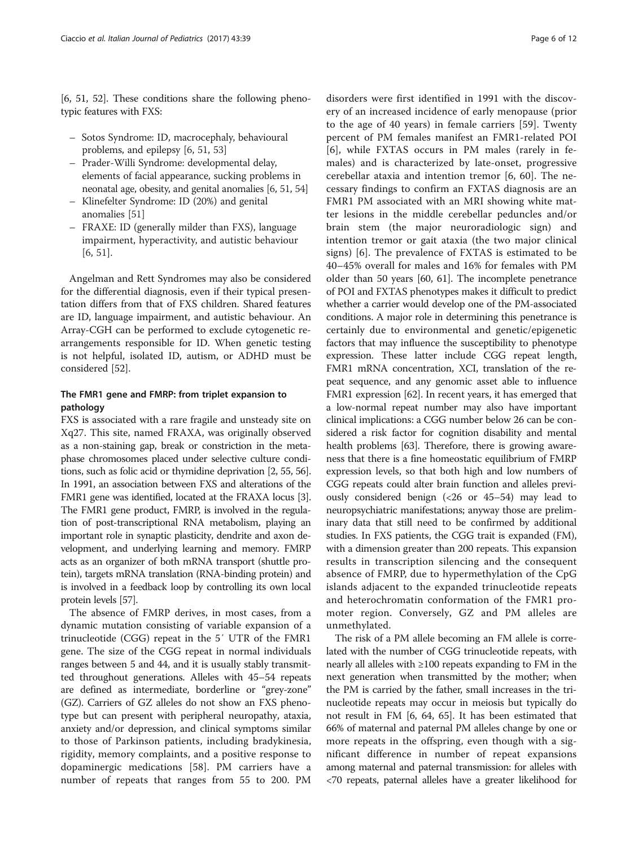[[6,](#page-9-0) [51](#page-10-0), [52](#page-10-0)]. These conditions share the following phenotypic features with FXS:

- Sotos Syndrome: ID, macrocephaly, behavioural problems, and epilepsy [[6](#page-9-0), [51](#page-10-0), [53\]](#page-10-0)
- Prader-Willi Syndrome: developmental delay, elements of facial appearance, sucking problems in neonatal age, obesity, and genital anomalies [\[6,](#page-9-0) [51,](#page-10-0) [54\]](#page-10-0)
- Klinefelter Syndrome: ID (20%) and genital anomalies [[51](#page-10-0)]
- FRAXE: ID (generally milder than FXS), language impairment, hyperactivity, and autistic behaviour [[6,](#page-9-0) [51\]](#page-10-0).

Angelman and Rett Syndromes may also be considered for the differential diagnosis, even if their typical presentation differs from that of FXS children. Shared features are ID, language impairment, and autistic behaviour. An Array-CGH can be performed to exclude cytogenetic rearrangements responsible for ID. When genetic testing is not helpful, isolated ID, autism, or ADHD must be considered [[52\]](#page-10-0).

# The FMR1 gene and FMRP: from triplet expansion to pathology

FXS is associated with a rare fragile and unsteady site on Xq27. This site, named FRAXA, was originally observed as a non-staining gap, break or constriction in the metaphase chromosomes placed under selective culture conditions, such as folic acid or thymidine deprivation [[2](#page-9-0), [55](#page-10-0), [56](#page-10-0)]. In 1991, an association between FXS and alterations of the FMR1 gene was identified, located at the FRAXA locus [[3](#page-9-0)]. The FMR1 gene product, FMRP, is involved in the regulation of post-transcriptional RNA metabolism, playing an important role in synaptic plasticity, dendrite and axon development, and underlying learning and memory. FMRP acts as an organizer of both mRNA transport (shuttle protein), targets mRNA translation (RNA-binding protein) and is involved in a feedback loop by controlling its own local protein levels [\[57\]](#page-11-0).

The absence of FMRP derives, in most cases, from a dynamic mutation consisting of variable expansion of a trinucleotide (CGG) repeat in the 5′ UTR of the FMR1 gene. The size of the CGG repeat in normal individuals ranges between 5 and 44, and it is usually stably transmitted throughout generations. Alleles with 45–54 repeats are defined as intermediate, borderline or "grey-zone" (GZ). Carriers of GZ alleles do not show an FXS phenotype but can present with peripheral neuropathy, ataxia, anxiety and/or depression, and clinical symptoms similar to those of Parkinson patients, including bradykinesia, rigidity, memory complaints, and a positive response to dopaminergic medications [[58](#page-11-0)]. PM carriers have a number of repeats that ranges from 55 to 200. PM

disorders were first identified in 1991 with the discovery of an increased incidence of early menopause (prior to the age of 40 years) in female carriers [[59\]](#page-11-0). Twenty percent of PM females manifest an FMR1-related POI [[6](#page-9-0)], while FXTAS occurs in PM males (rarely in females) and is characterized by late-onset, progressive cerebellar ataxia and intention tremor [\[6](#page-9-0), [60](#page-11-0)]. The necessary findings to confirm an FXTAS diagnosis are an FMR1 PM associated with an MRI showing white matter lesions in the middle cerebellar peduncles and/or brain stem (the major neuroradiologic sign) and intention tremor or gait ataxia (the two major clinical signs) [[6\]](#page-9-0). The prevalence of FXTAS is estimated to be 40–45% overall for males and 16% for females with PM older than 50 years [[60](#page-11-0), [61\]](#page-11-0). The incomplete penetrance of POI and FXTAS phenotypes makes it difficult to predict whether a carrier would develop one of the PM-associated conditions. A major role in determining this penetrance is certainly due to environmental and genetic/epigenetic factors that may influence the susceptibility to phenotype expression. These latter include CGG repeat length, FMR1 mRNA concentration, XCI, translation of the repeat sequence, and any genomic asset able to influence FMR1 expression [\[62\]](#page-11-0). In recent years, it has emerged that a low-normal repeat number may also have important clinical implications: a CGG number below 26 can be considered a risk factor for cognition disability and mental health problems [\[63](#page-11-0)]. Therefore, there is growing awareness that there is a fine homeostatic equilibrium of FMRP expression levels, so that both high and low numbers of CGG repeats could alter brain function and alleles previously considered benign (<26 or 45–54) may lead to neuropsychiatric manifestations; anyway those are preliminary data that still need to be confirmed by additional studies. In FXS patients, the CGG trait is expanded (FM), with a dimension greater than 200 repeats. This expansion results in transcription silencing and the consequent absence of FMRP, due to hypermethylation of the CpG islands adjacent to the expanded trinucleotide repeats and heterochromatin conformation of the FMR1 promoter region. Conversely, GZ and PM alleles are unmethylated.

The risk of a PM allele becoming an FM allele is correlated with the number of CGG trinucleotide repeats, with nearly all alleles with ≥100 repeats expanding to FM in the next generation when transmitted by the mother; when the PM is carried by the father, small increases in the trinucleotide repeats may occur in meiosis but typically do not result in FM [[6](#page-9-0), [64](#page-11-0), [65](#page-11-0)]. It has been estimated that 66% of maternal and paternal PM alleles change by one or more repeats in the offspring, even though with a significant difference in number of repeat expansions among maternal and paternal transmission: for alleles with <70 repeats, paternal alleles have a greater likelihood for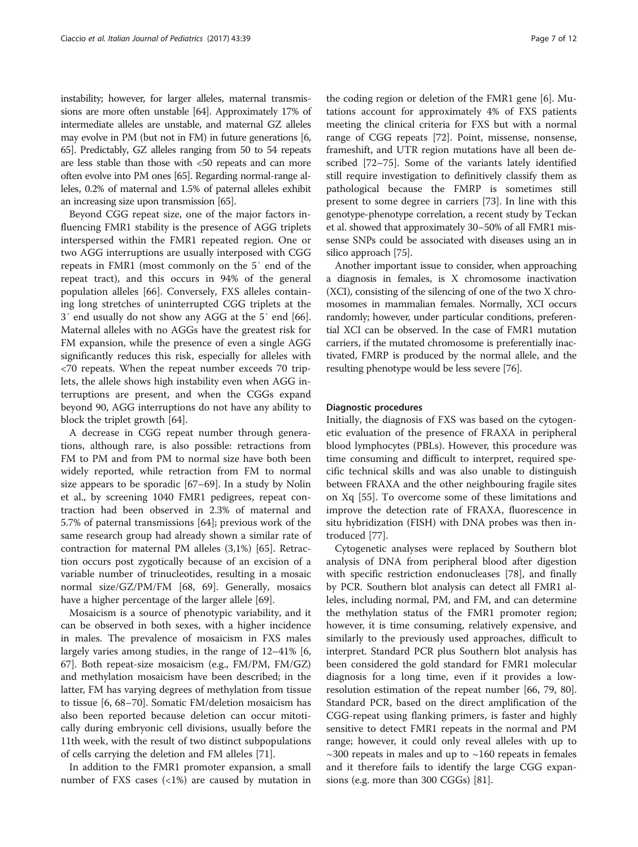instability; however, for larger alleles, maternal transmissions are more often unstable [\[64](#page-11-0)]. Approximately 17% of intermediate alleles are unstable, and maternal GZ alleles may evolve in PM (but not in FM) in future generations [[6](#page-9-0), [65](#page-11-0)]. Predictably, GZ alleles ranging from 50 to 54 repeats are less stable than those with <50 repeats and can more often evolve into PM ones [\[65\]](#page-11-0). Regarding normal-range alleles, 0.2% of maternal and 1.5% of paternal alleles exhibit an increasing size upon transmission [\[65](#page-11-0)].

Beyond CGG repeat size, one of the major factors influencing FMR1 stability is the presence of AGG triplets interspersed within the FMR1 repeated region. One or two AGG interruptions are usually interposed with CGG repeats in FMR1 (most commonly on the 5′ end of the repeat tract), and this occurs in 94% of the general population alleles [[66](#page-11-0)]. Conversely, FXS alleles containing long stretches of uninterrupted CGG triplets at the 3′ end usually do not show any AGG at the 5′ end [\[66](#page-11-0)]. Maternal alleles with no AGGs have the greatest risk for FM expansion, while the presence of even a single AGG significantly reduces this risk, especially for alleles with <70 repeats. When the repeat number exceeds 70 triplets, the allele shows high instability even when AGG interruptions are present, and when the CGGs expand beyond 90, AGG interruptions do not have any ability to block the triplet growth [\[64](#page-11-0)].

A decrease in CGG repeat number through generations, although rare, is also possible: retractions from FM to PM and from PM to normal size have both been widely reported, while retraction from FM to normal size appears to be sporadic [\[67](#page-11-0)–[69\]](#page-11-0). In a study by Nolin et al., by screening 1040 FMR1 pedigrees, repeat contraction had been observed in 2.3% of maternal and 5.7% of paternal transmissions [\[64](#page-11-0)]; previous work of the same research group had already shown a similar rate of contraction for maternal PM alleles (3,1%) [\[65\]](#page-11-0). Retraction occurs post zygotically because of an excision of a variable number of trinucleotides, resulting in a mosaic normal size/GZ/PM/FM [\[68](#page-11-0), [69\]](#page-11-0). Generally, mosaics have a higher percentage of the larger allele [[69](#page-11-0)].

Mosaicism is a source of phenotypic variability, and it can be observed in both sexes, with a higher incidence in males. The prevalence of mosaicism in FXS males largely varies among studies, in the range of 12–41% [\[6](#page-9-0), [67\]](#page-11-0). Both repeat-size mosaicism (e.g., FM/PM, FM/GZ) and methylation mosaicism have been described; in the latter, FM has varying degrees of methylation from tissue to tissue [\[6](#page-9-0), [68](#page-11-0)–[70\]](#page-11-0). Somatic FM/deletion mosaicism has also been reported because deletion can occur mitotically during embryonic cell divisions, usually before the 11th week, with the result of two distinct subpopulations of cells carrying the deletion and FM alleles [[71\]](#page-11-0).

In addition to the FMR1 promoter expansion, a small number of FXS cases (<1%) are caused by mutation in

the coding region or deletion of the FMR1 gene [\[6](#page-9-0)]. Mutations account for approximately 4% of FXS patients meeting the clinical criteria for FXS but with a normal range of CGG repeats [\[72](#page-11-0)]. Point, missense, nonsense, frameshift, and UTR region mutations have all been described [\[72](#page-11-0)–[75\]](#page-11-0). Some of the variants lately identified still require investigation to definitively classify them as pathological because the FMRP is sometimes still present to some degree in carriers [\[73](#page-11-0)]. In line with this genotype-phenotype correlation, a recent study by Teckan et al. showed that approximately 30–50% of all FMR1 missense SNPs could be associated with diseases using an in silico approach [\[75](#page-11-0)].

Another important issue to consider, when approaching a diagnosis in females, is X chromosome inactivation (XCI), consisting of the silencing of one of the two X chromosomes in mammalian females. Normally, XCI occurs randomly; however, under particular conditions, preferential XCI can be observed. In the case of FMR1 mutation carriers, if the mutated chromosome is preferentially inactivated, FMRP is produced by the normal allele, and the resulting phenotype would be less severe [[76](#page-11-0)].

# Diagnostic procedures

Initially, the diagnosis of FXS was based on the cytogenetic evaluation of the presence of FRAXA in peripheral blood lymphocytes (PBLs). However, this procedure was time consuming and difficult to interpret, required specific technical skills and was also unable to distinguish between FRAXA and the other neighbouring fragile sites on Xq [[55](#page-10-0)]. To overcome some of these limitations and improve the detection rate of FRAXA, fluorescence in situ hybridization (FISH) with DNA probes was then introduced [\[77](#page-11-0)].

Cytogenetic analyses were replaced by Southern blot analysis of DNA from peripheral blood after digestion with specific restriction endonucleases [[78](#page-11-0)], and finally by PCR. Southern blot analysis can detect all FMR1 alleles, including normal, PM, and FM, and can determine the methylation status of the FMR1 promoter region; however, it is time consuming, relatively expensive, and similarly to the previously used approaches, difficult to interpret. Standard PCR plus Southern blot analysis has been considered the gold standard for FMR1 molecular diagnosis for a long time, even if it provides a lowresolution estimation of the repeat number [\[66, 79, 80](#page-11-0)]. Standard PCR, based on the direct amplification of the CGG-repeat using flanking primers, is faster and highly sensitive to detect FMR1 repeats in the normal and PM range; however, it could only reveal alleles with up to  $\sim$ 300 repeats in males and up to  $\sim$ 160 repeats in females and it therefore fails to identify the large CGG expansions (e.g. more than 300 CGGs) [\[81](#page-11-0)].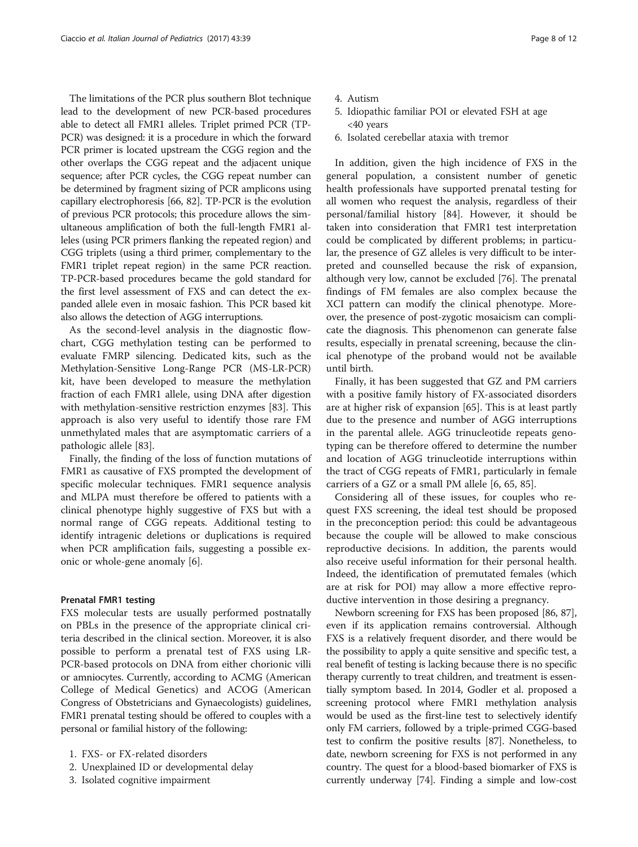The limitations of the PCR plus southern Blot technique lead to the development of new PCR-based procedures able to detect all FMR1 alleles. Triplet primed PCR (TP-PCR) was designed: it is a procedure in which the forward PCR primer is located upstream the CGG region and the other overlaps the CGG repeat and the adjacent unique sequence; after PCR cycles, the CGG repeat number can be determined by fragment sizing of PCR amplicons using capillary electrophoresis [\[66, 82\]](#page-11-0). TP-PCR is the evolution of previous PCR protocols; this procedure allows the simultaneous amplification of both the full-length FMR1 alleles (using PCR primers flanking the repeated region) and CGG triplets (using a third primer, complementary to the FMR1 triplet repeat region) in the same PCR reaction. TP-PCR-based procedures became the gold standard for the first level assessment of FXS and can detect the expanded allele even in mosaic fashion. This PCR based kit also allows the detection of AGG interruptions.

As the second-level analysis in the diagnostic flowchart, CGG methylation testing can be performed to evaluate FMRP silencing. Dedicated kits, such as the Methylation-Sensitive Long-Range PCR (MS-LR-PCR) kit, have been developed to measure the methylation fraction of each FMR1 allele, using DNA after digestion with methylation-sensitive restriction enzymes [\[83\]](#page-11-0). This approach is also very useful to identify those rare FM unmethylated males that are asymptomatic carriers of a pathologic allele [\[83\]](#page-11-0).

Finally, the finding of the loss of function mutations of FMR1 as causative of FXS prompted the development of specific molecular techniques. FMR1 sequence analysis and MLPA must therefore be offered to patients with a clinical phenotype highly suggestive of FXS but with a normal range of CGG repeats. Additional testing to identify intragenic deletions or duplications is required when PCR amplification fails, suggesting a possible exonic or whole-gene anomaly [\[6\]](#page-9-0).

# Prenatal FMR1 testing

FXS molecular tests are usually performed postnatally on PBLs in the presence of the appropriate clinical criteria described in the clinical section. Moreover, it is also possible to perform a prenatal test of FXS using LR-PCR-based protocols on DNA from either chorionic villi or amniocytes. Currently, according to ACMG (American College of Medical Genetics) and ACOG (American Congress of Obstetricians and Gynaecologists) guidelines, FMR1 prenatal testing should be offered to couples with a personal or familial history of the following:

- 1. FXS- or FX-related disorders
- 2. Unexplained ID or developmental delay
- 3. Isolated cognitive impairment
- 4. Autism
- 5. Idiopathic familiar POI or elevated FSH at age <40 years
- 6. Isolated cerebellar ataxia with tremor

In addition, given the high incidence of FXS in the general population, a consistent number of genetic health professionals have supported prenatal testing for all women who request the analysis, regardless of their personal/familial history [[84\]](#page-11-0). However, it should be taken into consideration that FMR1 test interpretation could be complicated by different problems; in particular, the presence of GZ alleles is very difficult to be interpreted and counselled because the risk of expansion, although very low, cannot be excluded [\[76](#page-11-0)]. The prenatal findings of FM females are also complex because the XCI pattern can modify the clinical phenotype. Moreover, the presence of post-zygotic mosaicism can complicate the diagnosis. This phenomenon can generate false results, especially in prenatal screening, because the clinical phenotype of the proband would not be available until birth.

Finally, it has been suggested that GZ and PM carriers with a positive family history of FX-associated disorders are at higher risk of expansion [\[65](#page-11-0)]. This is at least partly due to the presence and number of AGG interruptions in the parental allele. AGG trinucleotide repeats genotyping can be therefore offered to determine the number and location of AGG trinucleotide interruptions within the tract of CGG repeats of FMR1, particularly in female carriers of a GZ or a small PM allele [[6,](#page-9-0) [65, 85\]](#page-11-0).

Considering all of these issues, for couples who request FXS screening, the ideal test should be proposed in the preconception period: this could be advantageous because the couple will be allowed to make conscious reproductive decisions. In addition, the parents would also receive useful information for their personal health. Indeed, the identification of premutated females (which are at risk for POI) may allow a more effective reproductive intervention in those desiring a pregnancy.

Newborn screening for FXS has been proposed [\[86, 87](#page-11-0)], even if its application remains controversial. Although FXS is a relatively frequent disorder, and there would be the possibility to apply a quite sensitive and specific test, a real benefit of testing is lacking because there is no specific therapy currently to treat children, and treatment is essentially symptom based. In 2014, Godler et al. proposed a screening protocol where FMR1 methylation analysis would be used as the first-line test to selectively identify only FM carriers, followed by a triple-primed CGG-based test to confirm the positive results [\[87\]](#page-11-0). Nonetheless, to date, newborn screening for FXS is not performed in any country. The quest for a blood-based biomarker of FXS is currently underway [[74](#page-11-0)]. Finding a simple and low-cost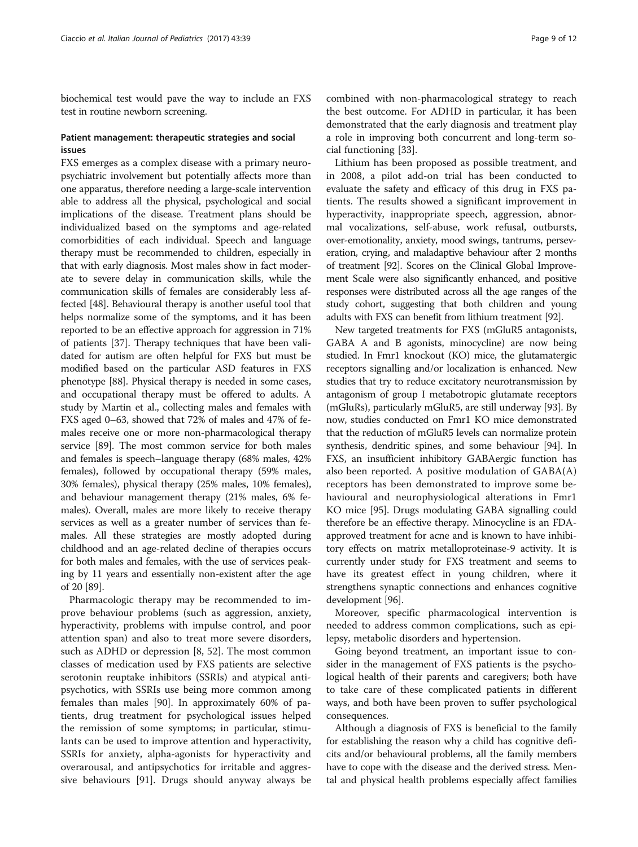biochemical test would pave the way to include an FXS test in routine newborn screening.

# Patient management: therapeutic strategies and social issues

FXS emerges as a complex disease with a primary neuropsychiatric involvement but potentially affects more than one apparatus, therefore needing a large-scale intervention able to address all the physical, psychological and social implications of the disease. Treatment plans should be individualized based on the symptoms and age-related comorbidities of each individual. Speech and language therapy must be recommended to children, especially in that with early diagnosis. Most males show in fact moderate to severe delay in communication skills, while the communication skills of females are considerably less affected [[48](#page-10-0)]. Behavioural therapy is another useful tool that helps normalize some of the symptoms, and it has been reported to be an effective approach for aggression in 71% of patients [[37](#page-10-0)]. Therapy techniques that have been validated for autism are often helpful for FXS but must be modified based on the particular ASD features in FXS phenotype [[88](#page-11-0)]. Physical therapy is needed in some cases, and occupational therapy must be offered to adults. A study by Martin et al., collecting males and females with FXS aged 0–63, showed that 72% of males and 47% of females receive one or more non-pharmacological therapy service [[89](#page-11-0)]. The most common service for both males and females is speech–language therapy (68% males, 42% females), followed by occupational therapy (59% males, 30% females), physical therapy (25% males, 10% females), and behaviour management therapy (21% males, 6% females). Overall, males are more likely to receive therapy services as well as a greater number of services than females. All these strategies are mostly adopted during childhood and an age-related decline of therapies occurs for both males and females, with the use of services peaking by 11 years and essentially non-existent after the age of 20 [\[89](#page-11-0)].

Pharmacologic therapy may be recommended to improve behaviour problems (such as aggression, anxiety, hyperactivity, problems with impulse control, and poor attention span) and also to treat more severe disorders, such as ADHD or depression [\[8](#page-10-0), [52](#page-10-0)]. The most common classes of medication used by FXS patients are selective serotonin reuptake inhibitors (SSRIs) and atypical antipsychotics, with SSRIs use being more common among females than males [[90](#page-11-0)]. In approximately 60% of patients, drug treatment for psychological issues helped the remission of some symptoms; in particular, stimulants can be used to improve attention and hyperactivity, SSRIs for anxiety, alpha-agonists for hyperactivity and overarousal, and antipsychotics for irritable and aggressive behaviours [\[91\]](#page-11-0). Drugs should anyway always be

combined with non-pharmacological strategy to reach the best outcome. For ADHD in particular, it has been demonstrated that the early diagnosis and treatment play a role in improving both concurrent and long-term social functioning [[33](#page-10-0)].

Lithium has been proposed as possible treatment, and in 2008, a pilot add-on trial has been conducted to evaluate the safety and efficacy of this drug in FXS patients. The results showed a significant improvement in hyperactivity, inappropriate speech, aggression, abnormal vocalizations, self-abuse, work refusal, outbursts, over-emotionality, anxiety, mood swings, tantrums, perseveration, crying, and maladaptive behaviour after 2 months of treatment [\[92\]](#page-11-0). Scores on the Clinical Global Improvement Scale were also significantly enhanced, and positive responses were distributed across all the age ranges of the study cohort, suggesting that both children and young adults with FXS can benefit from lithium treatment [[92](#page-11-0)].

New targeted treatments for FXS (mGluR5 antagonists, GABA A and B agonists, minocycline) are now being studied. In Fmr1 knockout (KO) mice, the glutamatergic receptors signalling and/or localization is enhanced. New studies that try to reduce excitatory neurotransmission by antagonism of group I metabotropic glutamate receptors (mGluRs), particularly mGluR5, are still underway [\[93\]](#page-11-0). By now, studies conducted on Fmr1 KO mice demonstrated that the reduction of mGluR5 levels can normalize protein synthesis, dendritic spines, and some behaviour [[94](#page-11-0)]. In FXS, an insufficient inhibitory GABAergic function has also been reported. A positive modulation of GABA(A) receptors has been demonstrated to improve some behavioural and neurophysiological alterations in Fmr1 KO mice [[95](#page-11-0)]. Drugs modulating GABA signalling could therefore be an effective therapy. Minocycline is an FDAapproved treatment for acne and is known to have inhibitory effects on matrix metalloproteinase-9 activity. It is currently under study for FXS treatment and seems to have its greatest effect in young children, where it strengthens synaptic connections and enhances cognitive development [\[96\]](#page-11-0).

Moreover, specific pharmacological intervention is needed to address common complications, such as epilepsy, metabolic disorders and hypertension.

Going beyond treatment, an important issue to consider in the management of FXS patients is the psychological health of their parents and caregivers; both have to take care of these complicated patients in different ways, and both have been proven to suffer psychological consequences.

Although a diagnosis of FXS is beneficial to the family for establishing the reason why a child has cognitive deficits and/or behavioural problems, all the family members have to cope with the disease and the derived stress. Mental and physical health problems especially affect families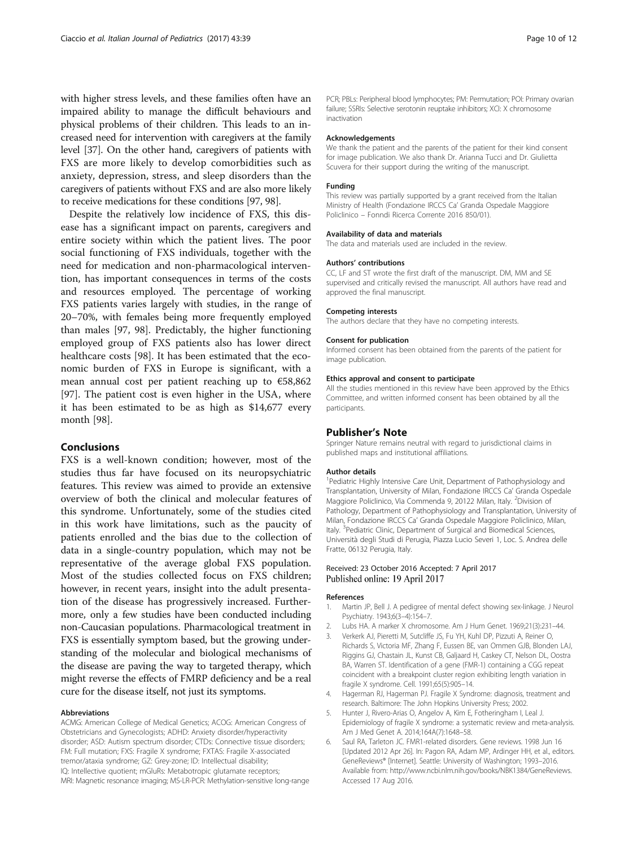<span id="page-9-0"></span>with higher stress levels, and these families often have an impaired ability to manage the difficult behaviours and physical problems of their children. This leads to an increased need for intervention with caregivers at the family level [\[37](#page-10-0)]. On the other hand, caregivers of patients with FXS are more likely to develop comorbidities such as anxiety, depression, stress, and sleep disorders than the caregivers of patients without FXS and are also more likely to receive medications for these conditions [\[97, 98](#page-11-0)].

Despite the relatively low incidence of FXS, this disease has a significant impact on parents, caregivers and entire society within which the patient lives. The poor social functioning of FXS individuals, together with the need for medication and non-pharmacological intervention, has important consequences in terms of the costs and resources employed. The percentage of working FXS patients varies largely with studies, in the range of 20–70%, with females being more frequently employed than males [[97](#page-11-0), [98](#page-11-0)]. Predictably, the higher functioning employed group of FXS patients also has lower direct healthcare costs [[98](#page-11-0)]. It has been estimated that the economic burden of FXS in Europe is significant, with a mean annual cost per patient reaching up to €58,862 [[97\]](#page-11-0). The patient cost is even higher in the USA, where it has been estimated to be as high as \$14,677 every month [\[98\]](#page-11-0).

# Conclusions

FXS is a well-known condition; however, most of the studies thus far have focused on its neuropsychiatric features. This review was aimed to provide an extensive overview of both the clinical and molecular features of this syndrome. Unfortunately, some of the studies cited in this work have limitations, such as the paucity of patients enrolled and the bias due to the collection of data in a single-country population, which may not be representative of the average global FXS population. Most of the studies collected focus on FXS children; however, in recent years, insight into the adult presentation of the disease has progressively increased. Furthermore, only a few studies have been conducted including non-Caucasian populations. Pharmacological treatment in FXS is essentially symptom based, but the growing understanding of the molecular and biological mechanisms of the disease are paving the way to targeted therapy, which might reverse the effects of FMRP deficiency and be a real cure for the disease itself, not just its symptoms.

# Abbreviations

ACMG: American College of Medical Genetics; ACOG: American Congress of Obstetricians and Gynecologists; ADHD: Anxiety disorder/hyperactivity disorder; ASD: Autism spectrum disorder; CTDs: Connective tissue disorders; FM: Full mutation; FXS: Fragile X syndrome; FXTAS: Fragile X-associated tremor/ataxia syndrome; GZ: Grey-zone; ID: Intellectual disability; IQ: Intellective quotient; mGluRs: Metabotropic glutamate receptors; MRI: Magnetic resonance imaging; MS-LR-PCR: Methylation-sensitive long-range PCR; PBLs: Peripheral blood lymphocytes; PM: Permutation; POI: Primary ovarian failure; SSRIs: Selective serotonin reuptake inhibitors; XCI: X chromosome inactivation

#### Acknowledgements

We thank the patient and the parents of the patient for their kind consent for image publication. We also thank Dr. Arianna Tucci and Dr. Giulietta Scuvera for their support during the writing of the manuscript.

#### Funding

This review was partially supported by a grant received from the Italian Ministry of Health (Fondazione IRCCS Ca' Granda Ospedale Maggiore Policlinico – Fonndi Ricerca Corrente 2016 850/01).

#### Availability of data and materials

The data and materials used are included in the review.

# Authors' contributions

CC, LF and ST wrote the first draft of the manuscript. DM, MM and SE supervised and critically revised the manuscript. All authors have read and approved the final manuscript.

#### Competing interests

The authors declare that they have no competing interests.

#### Consent for publication

Informed consent has been obtained from the parents of the patient for image publication.

#### Ethics approval and consent to participate

All the studies mentioned in this review have been approved by the Ethics Committee, and written informed consent has been obtained by all the participants.

# Publisher's Note

Springer Nature remains neutral with regard to jurisdictional claims in published maps and institutional affiliations.

#### Author details

<sup>1</sup> Pediatric Highly Intensive Care Unit, Department of Pathophysiology and Transplantation, University of Milan, Fondazione IRCCS Ca' Granda Ospedale Maggiore Policlinico, Via Commenda 9, 20122 Milan, Italy. <sup>2</sup>Division of Pathology, Department of Pathophysiology and Transplantation, University of Milan, Fondazione IRCCS Ca' Granda Ospedale Maggiore Policlinico, Milan, Italy. <sup>3</sup>Pediatric Clinic, Department of Surgical and Biomedical Sciences, Università degli Studi di Perugia, Piazza Lucio Severi 1, Loc. S. Andrea delle Fratte, 06132 Perugia, Italy.

# Received: 23 October 2016 Accepted: 7 April 2017 Published online: 19 April 2017

#### References

- 1. Martin JP, Bell J. A pedigree of mental defect showing sex-linkage. J Neurol Psychiatry. 1943;6(3–4):154–7.
- 2. Lubs HA. A marker X chromosome. Am J Hum Genet. 1969;21(3):231–44.
- 3. Verkerk AJ, Pieretti M, Sutcliffe JS, Fu YH, Kuhl DP, Pizzuti A, Reiner O, Richards S, Victoria MF, Zhang F, Eussen BE, van Ommen GJB, Blonden LAJ, Riggins GJ, Chastain JL, Kunst CB, Galjaard H, Caskey CT, Nelson DL, Oostra BA, Warren ST. Identification of a gene (FMR-1) containing a CGG repeat coincident with a breakpoint cluster region exhibiting length variation in fragile X syndrome. Cell. 1991;65(5):905–14.
- 4. Hagerman RJ, Hagerman PJ. Fragile X Syndrome: diagnosis, treatment and research. Baltimore: The John Hopkins University Press; 2002.
- 5. Hunter J, Rivero-Arias O, Angelov A, Kim E, Fotheringham I, Leal J. Epidemiology of fragile X syndrome: a systematic review and meta-analysis. Am J Med Genet A. 2014;164A(7):1648–58.
- 6. Saul RA, Tarleton JC. FMR1-related disorders. Gene reviews. 1998 Jun 16 [Updated 2012 Apr 26]. In: Pagon RA, Adam MP, Ardinger HH, et al., editors. GeneReviews® [Internet]. Seattle: University of Washington; 1993–2016. Available from: [http://www.ncbi.nlm.nih.gov/books/NBK1384/GeneReviews.](http://www.ncbi.nlm.nih.gov/books/NBK1384/GeneReviews) Accessed 17 Aug 2016.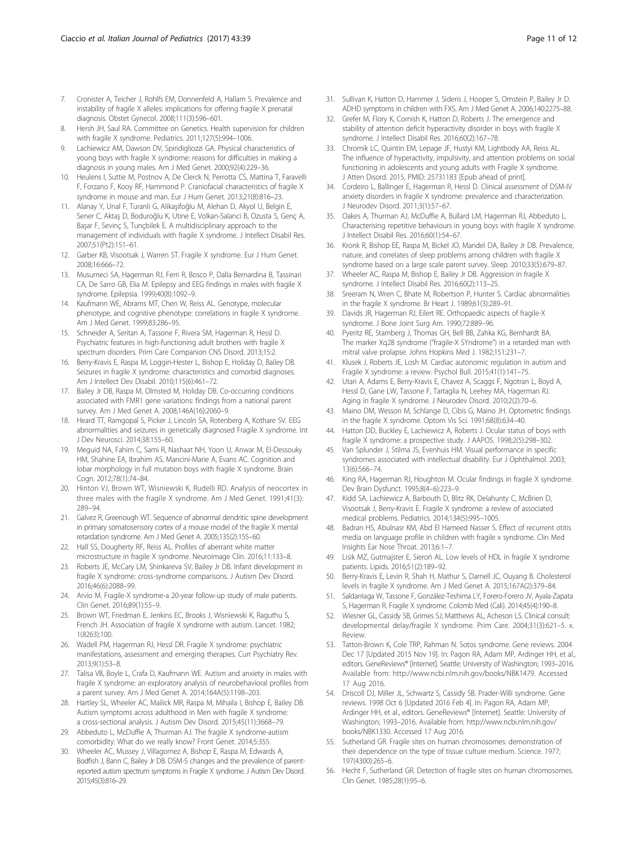- <span id="page-10-0"></span>7. Cronister A, Teicher J, Rohlfs EM, Donnenfeld A, Hallam S. Prevalence and instability of fragile X alleles: implications for offering fragile X prenatal diagnosis. Obstet Gynecol. 2008;111(3):596–601.
- 8. Hersh JH, Saul RA. Committee on Genetics. Health supervision for children with fragile X syndrome. Pediatrics. 2011;127(5):994–1006.
- 9. Lachiewicz AM, Dawson DV, Spiridigliozzi GA. Physical characteristics of young boys with fragile X syndrome: reasons for difficulties in making a diagnosis in young males. Am J Med Genet. 2000;92(4):229–36.
- 10. Heulens I, Suttie M, Postnov A, De Clerck N, Perrotta CS, Mattina T, Faravelli F, Forzano F, Kooy RF, Hammond P. Craniofacial characteristics of fragile X syndrome in mouse and man. Eur J Hum Genet. 2013;21(8):816–23.
- 11. Alanay Y, Unal F, Turanli G, Alikaşifoğlu M, Alehan D, Akyol U, Belgin E, Sener C, Aktaş D, Boduroğlu K, Utine E, Volkan-Salanci B, Ozusta S, Genç A, Başar F, Sevinç S, Tunçbilek E. A multidisciplinary approach to the management of individuals with fragile X syndrome. J Intellect Disabil Res. 2007;51(Pt2):151–61.
- 12. Garber KB, Visootsak J, Warren ST. Fragile X syndrome. Eur J Hum Genet. 2008;16:666–72.
- 13. Musumeci SA, Hagerman RJ, Ferri R, Bosco P, Dalla Bernardina B, Tassinari CA, De Sarro GB, Elia M. Epilepsy and EEG findings in males with fragile X syndrome. Epilepsia. 1999;40(8):1092–9.
- 14. Kaufmann WE, Abrams MT, Chen W, Reiss AL. Genotype, molecular phenotype, and cognitive phenotype: correlations in fragile X syndrome. Am J Med Genet. 1999;83:286–95.
- 15. Schneider A, Seritan A, Tassone F, Rivera SM, Hagerman R, Hessl D. Psychiatric features in high-functioning adult brothers with fragile X spectrum disorders. Prim Care Companion CNS Disord. 2013;15:2.
- 16. Berry-Kravis E, Raspa M, Loggin-Hester L, Bishop E, Holiday D, Bailey DB. Seizures in fragile X syndrome: characteristics and comorbid diagnoses. Am J Intellect Dev Disabil. 2010;115(6):461–72.
- 17. Bailey Jr DB, Raspa M, Olmsted M, Holiday DB. Co-occurring conditions associated with FMR1 gene variations: findings from a national parent survey. Am J Med Genet A. 2008;146A(16):2060–9.
- 18. Heard TT, Ramgopal S, Picker J, Lincoln SA, Rotenberg A, Kothare SV. EEG abnormalities and seizures in genetically diagnosed Fragile X syndrome. Int J Dev Neurosci. 2014;38:155–60.
- 19. Meguid NA, Fahim C, Sami R, Nashaat NH, Yoon U, Anwar M, El-Dessouky HM, Shahine EA, Ibrahim AS, Mancini-Marie A, Evans AC. Cognition and lobar morphology in full mutation boys with fragile X syndrome. Brain Cogn. 2012;78(1):74–84.
- 20. Hinton VJ, Brown WT, Wisniewski K, Rudelli RD. Analysis of neocortex in three males with the fragile X syndrome. Am J Med Genet. 1991;41(3): 289–94.
- 21. Galvez R, Greenough WT. Sequence of abnormal dendritic spine development in primary somatosensory cortex of a mouse model of the fragile X mental retardation syndrome. Am J Med Genet A. 2005;135(2):155–60.
- 22. Hall SS, Dougherty RF, Reiss AL. Profiles of aberrant white matter microstructure in fragile X syndrome. Neuroimage Clin. 2016;11:133–8.
- 23. Roberts JE, McCary LM, Shinkareva SV, Bailey Jr DB. Infant development in fragile X syndrome: cross-syndrome comparisons. J Autism Dev Disord. 2016;46(6):2088–99.
- 24. Arvio M. Fragile-X syndrome-a 20-year follow-up study of male patients. Clin Genet. 2016;89(1):55–9.
- Brown WT, Friedman E, Jenkins EC, Brooks J, Wisniewski K, Raguthu S, French JH. Association of fragile X syndrome with autism. Lancet. 1982; 1(8263):100.
- 26. Wadell PM, Hagerman RJ, Hessl DR. Fragile X syndrome: psychiatric manifestations, assessment and emerging therapies. Curr Psychiatry Rev. 2013;9(1):53–8.
- 27. Talisa VB, Boyle L, Crafa D, Kaufmann WE. Autism and anxiety in males with fragile X syndrome: an exploratory analysis of neurobehavioral profiles from a parent survey. Am J Med Genet A. 2014;164A(5):1198–203.
- 28. Hartley SL, Wheeler AC, Mailick MR, Raspa M, Mihaila I, Bishop E, Bailey DB. Autism symptoms across adulthood in Men with fragile X syndrome: a cross-sectional analysis. J Autism Dev Disord. 2015;45(11):3668–79.
- 29. Abbeduto L, McDuffie A, Thurman AJ. The fragile X syndrome-autism comorbidity: What do we really know? Front Genet. 2014;5:355.
- 30. Wheeler AC, Mussey J, Villagomez A, Bishop E, Raspa M, Edwards A, Bodfish J, Bann C, Bailey Jr DB. DSM-5 changes and the prevalence of parentreported autism spectrum symptoms in Fragile X syndrome. J Autism Dev Disord. 2015;45(3):816–29.
- 31. Sullivan K, Hatton D, Hammer J, Sideris J, Hooper S, Ornstein P, Bailey Jr D. ADHD symptoms in children with FXS. Am J Med Genet A. 2006;140:2275–88.
- 32. Grefer M, Flory K, Cornish K, Hatton D, Roberts J. The emergence and stability of attention deficit hyperactivity disorder in boys with fragile X syndrome. J Intellect Disabil Res. 2016;60(2):167–78.
- 33. Chromik LC, Quintin EM, Lepage JF, Hustyi KM, Lightbody AA, Reiss AL. The influence of hyperactivity, impulsivity, and attention problems on social functioning in adolescents and young adults with Fragile X syndrome. J Atten Disord. 2015, PMID: 25731183 [Epub ahead of print].
- 34. Cordeiro L, Ballinger E, Hagerman R, Hessl D. Clinical assessment of DSM-IV anxiety disorders in fragile X syndrome: prevalence and characterization. J Neurodev Disord. 2011;3(1):57–67.
- 35. Oakes A, Thurman AJ, McDuffie A, Bullard LM, Hagerman RJ, Abbeduto L. Characterising repetitive behaviours in young boys with fragile X syndrome. J Intellect Disabil Res. 2016;60(1):54–67.
- 36. Kronk R, Bishop EE, Raspa M, Bickel JO, Mandel DA, Bailey Jr DB. Prevalence, nature, and correlates of sleep problems among children with fragile X syndrome based on a large scale parent survey. Sleep. 2010;33(5):679–87.
- 37. Wheeler AC, Raspa M, Bishop E, Bailey Jr DB. Aggression in fragile X syndrome. J Intellect Disabil Res. 2016;60(2):113–25.
- 38. Sreeram N, Wren C, Bhate M, Robertson P, Hunter S. Cardiac abnormalities in the fragile X syndrome. Br Heart J. 1989;61(3):289–91.
- 39. Davids JR, Hagerman RJ, Eilert RE. Orthopaedic aspects of fragile-X syndrome. J Bone Joint Surg Am. 1990;72:889–96.
- 40. Pyeritz RE, Stamberg J, Thomas GH, Bell BB, Zahka KG, Bernhardt BA. The marker Xq28 syndrome ("fragile-X SYndrome") in a retarded man with mitral valve prolapse. Johns Hopkins Med J. 1982;151:231–7.
- 41. Klusek J, Roberts JE, Losh M. Cardiac autonomic regulation in autism and Fragile X syndrome: a review. Psychol Bull. 2015;41(1):141–75.
- 42. Utari A, Adams E, Berry-Kravis E, Chavez A, Scaggs F, Ngotran L, Boyd A, Hessl D, Gane LW, Tassone F, Tartaglia N, Leehey MA, Hagerman RJ. Aging in fragile X syndrome. J Neurodev Disord. 2010;2(2):70–6.
- 43. Maino DM, Wesson M, Schlange D, Cibis G, Maino JH. Optometric findings in the fragile X syndrome. Optom Vis Sci. 1991;68(8):634–40.
- 44. Hatton DD, Buckley E, Lachiewicz A, Roberts J. Ocular status of boys with fragile X syndrome: a prospective study. J AAPOS. 1998;2(5):298–302.
- 45. Van Splunder J, Stilma JS, Evenhuis HM. Visual performance in specific syndromes associated with intellectual disability. Eur J Ophthalmol. 2003; 13(6):566–74.
- King RA, Hagerman RJ, Houghton M. Ocular findings in fragile X syndrome. Dev Brain Dysfunct. 1995;8(4–6):223–9.
- 47. Kidd SA, Lachiewicz A, Barbouth D, Blitz RK, Delahunty C, McBrien D, Visootsak J, Berry-Kravis E. Fragile X syndrome: a review of associated medical problems. Pediatrics. 2014;134(5):995–1005.
- 48. Badran HS, Abulnasr KM, Abd El Hameed Nasser S. Effect of recurrent otitis media on language profile in children with fragile x syndrome. Clin Med Insights Ear Nose Throat. 2013;6:1–7.
- 49. Lisik MZ, Gutmajster E, Sieroń AL. Low levels of HDL in fragile X syndrome patients. Lipids. 2016;51(2):189–92.
- 50. Berry-Kravis E, Levin R, Shah H, Mathur S, Darnell JC, Ouyang B. Cholesterol levels in fragile X syndrome. Am J Med Genet A. 2015;167A(2):379–84.
- 51. Saldarriaga W, Tassone F, González-Teshima LY, Forero-Forero JV, Ayala-Zapata S, Hagerman R. Fragile X syndrome. Colomb Med (Cali). 2014;45(4):190–8.
- 52. Wiesner GL, Cassidy SB, Grimes SJ, Matthews AL, Acheson LS. Clinical consult: developmental delay/fragile X syndrome. Prim Care. 2004;31(3):621–5. x. Review.
- 53. Tatton-Brown K, Cole TRP, Rahman N. Sotos syndrome. Gene reviews. 2004 Dec 17 [Updated 2015 Nov 19]. In: Pagon RA, Adam MP, Ardinger HH, et al., editors. GeneReviews® [Internet]. Seattle: University of Washington; 1993–2016. Available from: [http://www.ncbi.nlm.nih.gov/books/NBK1479.](http://www.ncbi.nlm.nih.gov/books/NBK1479) Accessed 17 Aug 2016.
- 54. Driscoll DJ, Miller JL, Schwartz S, Cassidy SB. Prader-Willi syndrome. Gene reviews. 1998 Oct 6 [Updated 2016 Feb 4]. In: Pagon RA, Adam MP, Ardinger HH, et al., editors. GeneReviews® [Internet]. Seattle: University of Washington; 1993–2016. Available from: [http://www.ncbi.nlm.nih.gov/](http://www.ncbi.nlm.nih.gov/books/NBK1330) [books/NBK1330](http://www.ncbi.nlm.nih.gov/books/NBK1330). Accessed 17 Aug 2016.
- 55. Sutherland GR. Fragile sites on human chromosomes: demonstration of their dependence on the type of tissue culture medium. Science. 1977; 197(4300):265–6.
- 56. Hecht F, Sutherland GR. Detection of fragile sites on human chromosomes. Clin Genet. 1985;28(1):95–6.